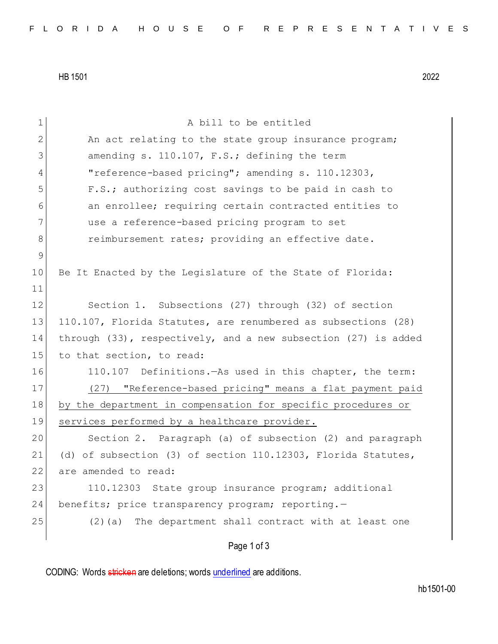HB 1501 2022

| 1            | A bill to be entitled                                               |
|--------------|---------------------------------------------------------------------|
| $\mathbf{2}$ | An act relating to the state group insurance program;               |
| 3            | amending s. 110.107, F.S.; defining the term                        |
| 4            | "reference-based pricing"; amending s. 110.12303,                   |
| 5            | F.S.; authorizing cost savings to be paid in cash to                |
| 6            | an enrollee; requiring certain contracted entities to               |
| 7            | use a reference-based pricing program to set                        |
| 8            | reimbursement rates; providing an effective date.                   |
| $\mathsf 9$  |                                                                     |
| 10           | Be It Enacted by the Legislature of the State of Florida:           |
| 11           |                                                                     |
| 12           | Section 1. Subsections (27) through (32) of section                 |
| 13           | 110.107, Florida Statutes, are renumbered as subsections (28)       |
| 14           | through $(33)$ , respectively, and a new subsection $(27)$ is added |
| 15           | to that section, to read:                                           |
| 16           | 110.107 Definitions. - As used in this chapter, the term:           |
| 17           | (27) "Reference-based pricing" means a flat payment paid            |
| 18           | by the department in compensation for specific procedures or        |
| 19           | services performed by a healthcare provider.                        |
| 20           | Section 2. Paragraph (a) of subsection (2) and paragraph            |
| 21           | (d) of subsection (3) of section $110.12303$ , Florida Statutes,    |
| 22           | are amended to read:                                                |
| 23           | 110.12303 State group insurance program; additional                 |
| 24           | benefits; price transparency program; reporting.-                   |
| 25           | (2) (a) The department shall contract with at least one             |
|              | Page 1 of 3                                                         |

CODING: Words stricken are deletions; words underlined are additions.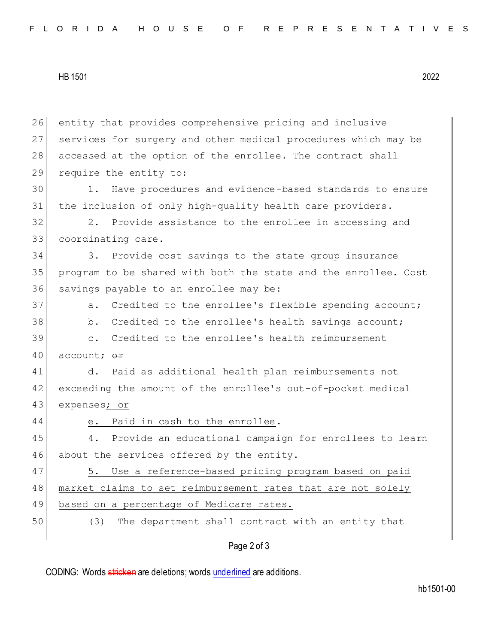HB 1501 2022

Page 2 of 3 26 entity that provides comprehensive pricing and inclusive 27 services for surgery and other medical procedures which may be 28 accessed at the option of the enrollee. The contract shall 29 require the entity to: 30 1. Have procedures and evidence-based standards to ensure 31 the inclusion of only high-quality health care providers. 32 2. Provide assistance to the enrollee in accessing and 33 coordinating care. 34 3. Provide cost savings to the state group insurance 35 program to be shared with both the state and the enrollee. Cost 36 savings payable to an enrollee may be: 37 a. Credited to the enrollee's flexible spending account; 38 b. Credited to the enrollee's health savings account; 39 c. Credited to the enrollee's health reimbursement 40 account;  $\Theta$ **F** 41 d. Paid as additional health plan reimbursements not 42 exceeding the amount of the enrollee's out-of-pocket medical 43 expenses; or 44 e. Paid in cash to the enrollee. 45 4. Provide an educational campaign for enrollees to learn 46 about the services offered by the entity. 47 5. Use a reference-based pricing program based on paid 48 market claims to set reimbursement rates that are not solely 49 based on a percentage of Medicare rates. 50 (3) The department shall contract with an entity that

CODING: Words stricken are deletions; words underlined are additions.